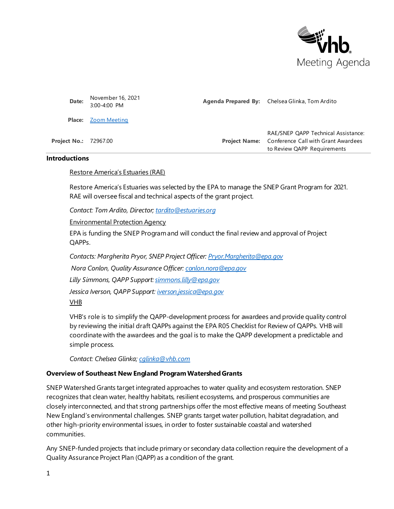

| Date:                        | November 16, 2021<br>3:00-4:00 PM | <b>Agenda Prepared By:</b> Chelsea Glinka, Tom Ardito                                                                          |
|------------------------------|-----------------------------------|--------------------------------------------------------------------------------------------------------------------------------|
|                              | <b>Place:</b> Zoom Meeting        |                                                                                                                                |
| <b>Project No.: 72967.00</b> |                                   | RAE/SNEP QAPP Technical Assistance:<br><b>Project Name:</b> Conference Call with Grant Awardees<br>to Review QAPP Requirements |

#### **Introductions**

#### Restore America's Estuaries (RAE)

Restore America's Estuaries was selected by the EPA to manage the SNEP Grant Program for 2021. RAE will oversee fiscal and technical aspects of the grant project.

*Contact: Tom Ardito, Directo[r; tardito@estuaries.org](mailto:tardito@estuaries.org)*

#### Environmental Protection Agency

EPA is funding the SNEP Program and will conduct the final review and approval of Project QAPPs.

*Contacts: Margherita Pryor, SNEP Project Officer: [Pryor.Margherita@epa.gov](mailto:Pryor.Margherita@epa.gov)*

*Nora Conlon, Quality Assurance Officer: [conlon.nora@epa.gov](mailto:conlon.nora@epa.gov)*

*Lilly Simmons, QAPP Suppor[t: simmons.lilly@epa.gov](simmons.lilly@epa.gov)*

*Jessica Iverson, QAPP Suppor[t: iverson.jessica@epa.gov](iverson.jessica@epa.gov)*

VHB

VHB's role is to simplify the QAPP-development process for awardees and provide quality control by reviewing the initial draft QAPPs against the EPA R05 Checklist for Review of QAPPs. VHB will coordinate with the awardees and the goal is to make the QAPP development a predictable and simple process.

*Contact: Chelsea Glinka; [cglinka@vhb.com](mailto:cglinka@vhb.com)*

#### **Overview of Southeast New England Program Watershed Grants**

SNEP Watershed Grants target integrated approaches to water quality and ecosystem restoration. SNEP recognizes that clean water, healthy habitats, resilient ecosystems, and prosperous communities are closely interconnected, and that strong partnerships offer the most effective means of meeting Southeast New England's environmental challenges. SNEP grants target water pollution, habitat degradation, and other high-priority environmental issues, in order to foster sustainable coastal and watershed communities.

Any SNEP-funded projects that include primary or secondary data collection require the development of a Quality Assurance Project Plan (QAPP) as a condition of the grant.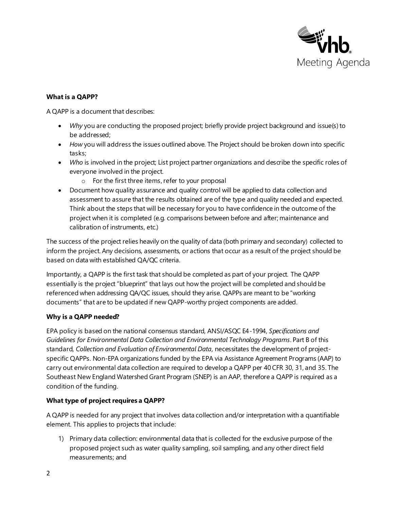

# **What is a QAPP?**

A QAPP is a document that describes:

- *Why* you are conducting the proposed project; briefly provide project background and issue(s) to be addressed;
- *How* you will address the issues outlined above. The Project should be broken down into specific tasks;
- *Who* is involved in the project; List project partner organizations and describe the specific roles of everyone involved in the project.
	- o For the first three items, refer to your proposal
- Document how quality assurance and quality control will be applied to data collection and assessment to assure that the results obtained are of the type and quality needed and expected. Think about the steps that will be necessary for you to have confidence in the outcome of the project when it is completed (e.g. comparisons between before and after; maintenance and calibration of instruments, etc.)

The success of the project relies heavily on the quality of data (both primary and secondary) collected to inform the project. Any decisions, assessments, or actions that occur as a result of the project should be based on data with established QA/QC criteria.

Importantly, a QAPP is the first task that should be completed as part of your project. The QAPP essentially is the project "blueprint" that lays out how the project will be completed and should be referenced when addressing QA/QC issues, should they arise. QAPPs are meant to be "working documents" that are to be updated if new QAPP-worthy project components are added.

## **Why is a QAPP needed?**

EPA policy is based on the national consensus standard, ANSI/ASQC E4-1994, *Specifications and Guidelines for Environmental Data Collection and Environmental Technology Programs*. Part B of this standard, *Collection and Evaluation of Environmental Data,* necessitates the development of projectspecific QAPPs. Non-EPA organizations funded by the EPA via Assistance Agreement Programs (AAP) to carry out environmental data collection are required to develop a QAPP per 40 CFR 30, 31, and 35. The Southeast New England Watershed Grant Program (SNEP) is an AAP, therefore a QAPP is required as a condition of the funding.

## **What type of project requires a QAPP?**

A QAPP is needed for any project that involves data collection and/or interpretation with a quantifiable element. This applies to projects that include:

1) Primary data collection: environmental data that is collected for the exclusive purpose of the proposed project such as water quality sampling, soil sampling, and any other direct field measurements; and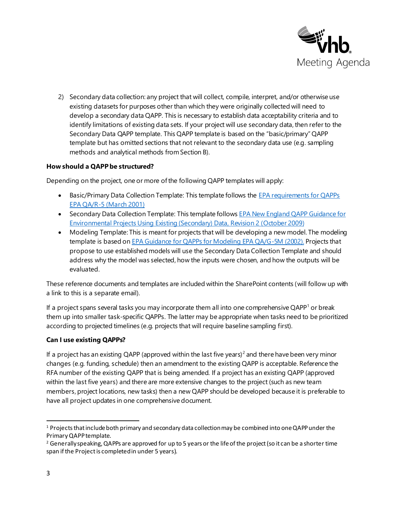

2) Secondary data collection: any project that will collect, compile, interpret, and/or otherwise use existing datasets for purposes other than which they were originally collected will need to develop a secondary data QAPP. This is necessary to establish data acceptability criteria and to identify limitations of existing data sets. If your project will use secondary data, then refer to the Secondary Data QAPP template. This QAPP template is based on the "basic/primary" QAPP template but has omitted sections that not relevant to the secondary data use (e.g. sampling methods and analytical methods from Section B).

### **How should a QAPP be structured?**

Depending on the project, one or more of the following QAPP templates will apply:

- Basic/Primary Data Collection Template: This template follows the EPA requirements for QAPPs [EPA QA/R-5 \(March 2001\)](https://www.epa.gov/sites/production/files/2016-06/documents/r5-final_0.pdf)
- Secondary Data Collection Template: This template follows EPA New England QAPP Guidance for [Environmental Projects Using Existing \(Secondary\) Data, Revision 2 \(October 2009\)](https://www.epa.gov/sites/production/files/2015-06/documents/EPANESecondaryDataGuidance.pdf)
- Modeling Template: This is meant for projects that will be developing a new model. The modeling template is based o[n EPA Guidance for QAPPs for Modeling EPA QA/G-5M \(2002\).](https://www.epa.gov/sites/production/files/2015-06/documents/g5m-final.pdf) Projects that propose to use established models will use the Secondary Data Collection Template and should address why the model was selected, how the inputs were chosen, and how the outputs will be evaluated.

These reference documents and templates are included within the SharePoint contents (will follow up with a link to this is a separate email).

If a project spans several tasks you may incorporate them all into one comprehensive  $QAPP<sup>1</sup>$  or break them up into smaller task-specific QAPPs. The latter may be appropriate when tasks need to be prioritized according to projected timelines (e.g. projects that will require baseline sampling first).

#### **Can I use existing QAPPs?**

If a project has an existing QAPP (approved within the last five years)<sup>2</sup> and there have been very minor changes (e.g. funding, schedule) then an amendment to the existing QAPP is acceptable. Reference the RFA number of the existing QAPP that is being amended. If a project has an existing QAPP (approved within the last five years) and there are more extensive changes to the project (such as new team members, project locations, new tasks) then a new QAPP should be developed because it is preferable to have all project updates in one comprehensive document.

<sup>&</sup>lt;sup>1</sup> Projects that include both primary and secondary data collection may be combined into one QAPP under the Primary QAPP template.

<sup>&</sup>lt;sup>2</sup> Generally speaking, QAPPs are approved for up to 5 years or the life of the project (so it can be a shorter time span if the Project is completed in under 5 years).